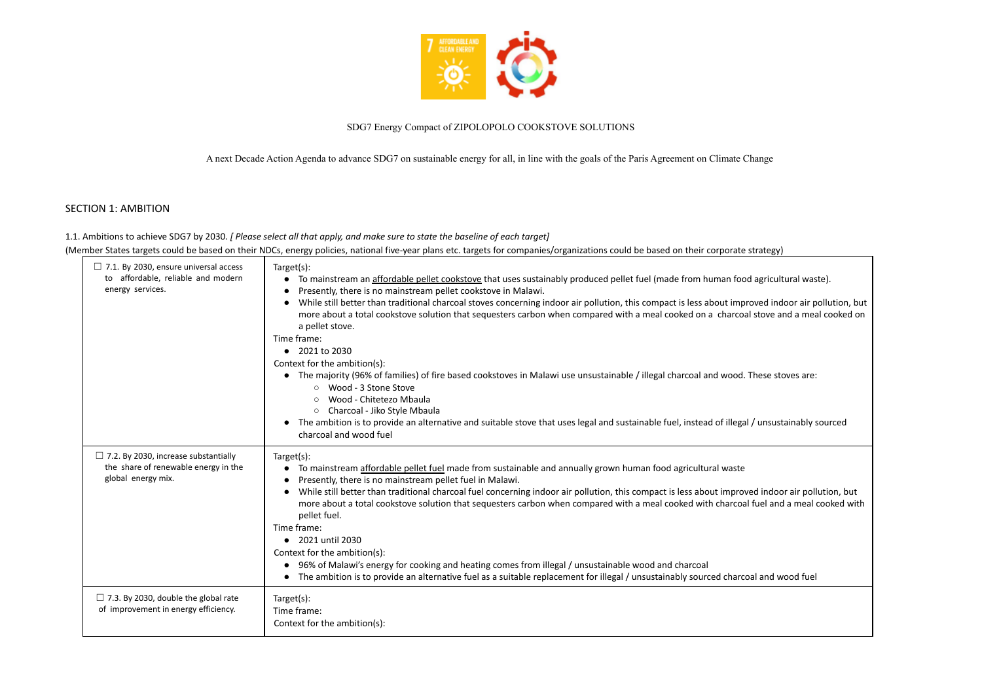

# SDG7 Energy Compact of ZIPOLOPOLO COOKSTOVE SOLUTIONS

A next Decade Action Agenda to advance SDG7 on sustainable energy for all, in line with the goals of the Paris Agreement on Climate Change

# SECTION 1: AMBITION

1.1. Ambitions to achieve SDG7 by 2030. *[ Please select all that apply, and make sure to state the baseline of each target]* (Member States targets could be based on their NDCs, energy policies, national five-year plans etc. targets for companies/organizations could be based on their corporate strategy)

| $\Box$ 7.1. By 2030, ensure universal access<br>to affordable, reliable and modern<br>energy services.    | Target(s):<br>To mainstream an affordable pellet cookstove that uses sustainably produced pellet fuel (made from human foo<br>Presently, there is no mainstream pellet cookstove in Malawi.<br>$\bullet$<br>While still better than traditional charcoal stoves concerning indoor air pollution, this compact is less about imp<br>more about a total cookstove solution that sequesters carbon when compared with a meal cooked on a charcoa<br>a pellet stove.<br>Time frame:<br>$\bullet$ 2021 to 2030<br>Context for the ambition(s):<br>• The majority (96% of families) of fire based cookstoves in Malawi use unsustainable / illegal charcoal and wood.<br>○ Wood - 3 Stone Stove<br>Wood - Chitetezo Mbaula<br>Charcoal - Jiko Style Mbaula<br>$\circ$<br>The ambition is to provide an alternative and suitable stove that uses legal and sustainable fuel, instead of illega<br>charcoal and wood fuel |
|-----------------------------------------------------------------------------------------------------------|-------------------------------------------------------------------------------------------------------------------------------------------------------------------------------------------------------------------------------------------------------------------------------------------------------------------------------------------------------------------------------------------------------------------------------------------------------------------------------------------------------------------------------------------------------------------------------------------------------------------------------------------------------------------------------------------------------------------------------------------------------------------------------------------------------------------------------------------------------------------------------------------------------------------|
| $\Box$ 7.2. By 2030, increase substantially<br>the share of renewable energy in the<br>global energy mix. | Target(s):<br>To mainstream affordable pellet fuel made from sustainable and annually grown human food agricultural waste<br>Presently, there is no mainstream pellet fuel in Malawi.<br>While still better than traditional charcoal fuel concerning indoor air pollution, this compact is less about improv<br>more about a total cookstove solution that sequesters carbon when compared with a meal cooked with charcoa<br>pellet fuel.<br>Time frame:<br>• 2021 until 2030<br>Context for the ambition(s):<br>• 96% of Malawi's energy for cooking and heating comes from illegal / unsustainable wood and charcoal<br>The ambition is to provide an alternative fuel as a suitable replacement for illegal / unsustainably sourced charce                                                                                                                                                                   |
| $\Box$ 7.3. By 2030, double the global rate<br>of improvement in energy efficiency.                       | Target(s):<br>Time frame:<br>Context for the ambition(s):                                                                                                                                                                                                                                                                                                                                                                                                                                                                                                                                                                                                                                                                                                                                                                                                                                                         |

od agricultural waste).

oroved indoor air pollution, but val stove and a meal cooked on

. These stoves are:

al / unsustainably sourced

bed indoor air pollution, but al fuel and a meal cooked with

coal and wood fuel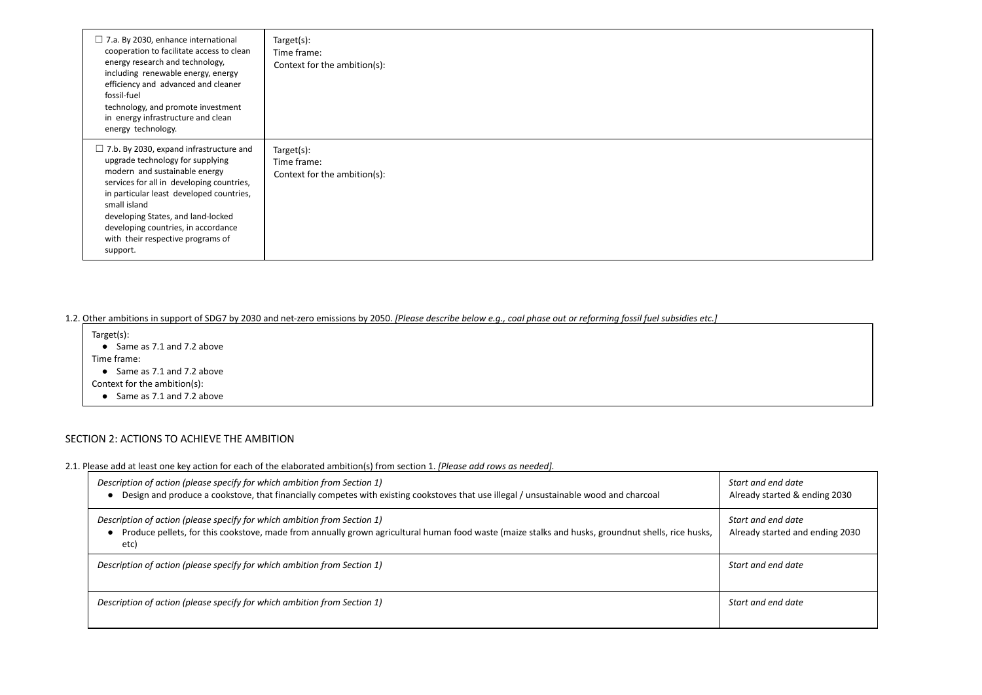| $\Box$ 7.a. By 2030, enhance international<br>cooperation to facilitate access to clean<br>energy research and technology,<br>including renewable energy, energy<br>efficiency and advanced and cleaner<br>fossil-fuel<br>technology, and promote investment<br>in energy infrastructure and clean<br>energy technology.                                   | Target(s):<br>Time frame:<br>Context for the ambition(s): |
|------------------------------------------------------------------------------------------------------------------------------------------------------------------------------------------------------------------------------------------------------------------------------------------------------------------------------------------------------------|-----------------------------------------------------------|
| $\Box$ 7.b. By 2030, expand infrastructure and<br>upgrade technology for supplying<br>modern and sustainable energy<br>services for all in developing countries,<br>in particular least developed countries,<br>small island<br>developing States, and land-locked<br>developing countries, in accordance<br>with their respective programs of<br>support. | Target(s):<br>Time frame:<br>Context for the ambition(s): |

1.2. Other ambitions in support of SDG7 by 2030 and net-zero emissions by 2050. [Please describe below e.g., coal phase out or reforming fossil fuel subsidies etc.]

- Target(s): ● Same as 7.1 and 7.2 above Time frame: ● Same as 7.1 and 7.2 above Context for the ambition(s):
	- Same as 7.1 and 7.2 above

*Start and end date* eady started & ending 2030

*Start and end date* eady started and ending 2030

# SECTION 2: ACTIONS TO ACHIEVE THE AMBITION

2.1. Please add at least one key action for each of the elaborated ambition(s) from section 1. *[Please add rows as needed].*

| Description of action (please specify for which ambition from Section 1)<br>Design and produce a cookstove, that financially competes with existing cookstoves that use illegal / unsustainable wood and charcoal                      | Start and end date<br>Already started & e |
|----------------------------------------------------------------------------------------------------------------------------------------------------------------------------------------------------------------------------------------|-------------------------------------------|
| Description of action (please specify for which ambition from Section 1)<br>Produce pellets, for this cookstove, made from annually grown agricultural human food waste (maize stalks and husks, groundnut shells, rice husks,<br>etc) | Start and end date<br>Already started and |
| Description of action (please specify for which ambition from Section 1)                                                                                                                                                               | Start and end date                        |
| Description of action (please specify for which ambition from Section 1)                                                                                                                                                               | Start and end date                        |

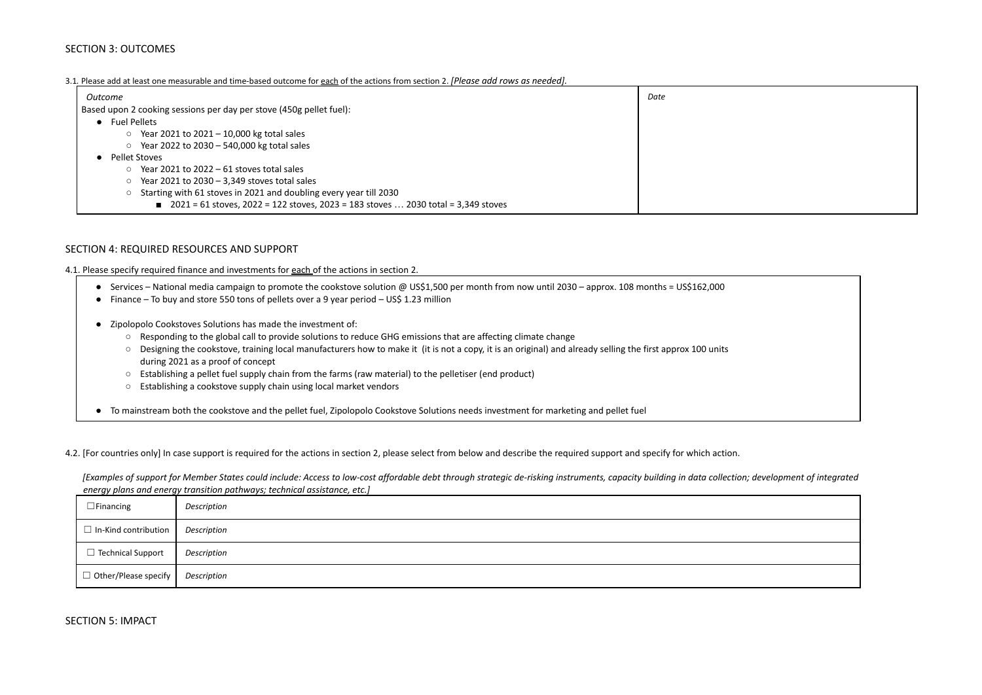# SECTION 3: OUTCOMES

## 3.1*.* Please add at least one measurable and time-based outcome for each of the actions from section 2. *[Please add rows as needed].*

| Outcome                                                                             | Date |
|-------------------------------------------------------------------------------------|------|
| Based upon 2 cooking sessions per day per stove (450g pellet fuel):                 |      |
| <b>Fuel Pellets</b>                                                                 |      |
| Year 2021 to 2021 - 10,000 kg total sales<br>$\circ$                                |      |
| Year 2022 to 2030 - 540,000 kg total sales<br>$\circ$                               |      |
| Pellet Stoves                                                                       |      |
| Year 2021 to $2022 - 61$ stoves total sales<br>$\circ$                              |      |
| Year 2021 to $2030 - 3,349$ stoves total sales<br>$\circ$                           |      |
| Starting with 61 stoves in 2021 and doubling every year till 2030<br>$\circ$        |      |
| ■ 2021 = 61 stoves, 2022 = 122 stoves, 2023 = 183 stoves  2030 total = 3,349 stoves |      |
|                                                                                     |      |

# SECTION 4: REQUIRED RESOURCES AND SUPPORT

4.1. Please specify required finance and investments for each of the actions in section 2.

- Services National media campaign to promote the cookstove solution @ US\$1,500 per month from now until 2030 approx. 108 months = US\$162,000
- Finance To buy and store 550 tons of pellets over a 9 year period US\$ 1.23 million
- Zipolopolo Cookstoves Solutions has made the investment of:
	- Responding to the global call to provide solutions to reduce GHG emissions that are affecting climate change
	- Designing the cookstove, training local manufacturers how to make it (it is not a copy, it is an original) and already selling the first approx 100 units during 2021 as a proof of concept
	- Establishing a pellet fuel supply chain from the farms (raw material) to the pelletiser (end product)
	- Establishing a cookstove supply chain using local market vendors
- To mainstream both the cookstove and the pellet fuel, Zipolopolo Cookstove Solutions needs investment for marketing and pellet fuel

4.2. [For countries only] In case support is required for the actions in section 2, please select from below and describe the required support and specify for which action.

*[Examples of support for Member States could include: Access to low-cost affordable debt through strategic de-risking instruments, capacity building in data collection; development of integrated energy plans and energy transition pathways; technical assistance, etc.]*

| $\Box$ Financing                   | Description |
|------------------------------------|-------------|
| $\Box$ In-Kind contribution        | Description |
| $\Box$ Technical Support           | Description |
| $\Box$ Other/Please specify $\Box$ | Description |

SECTION 5: IMPACT

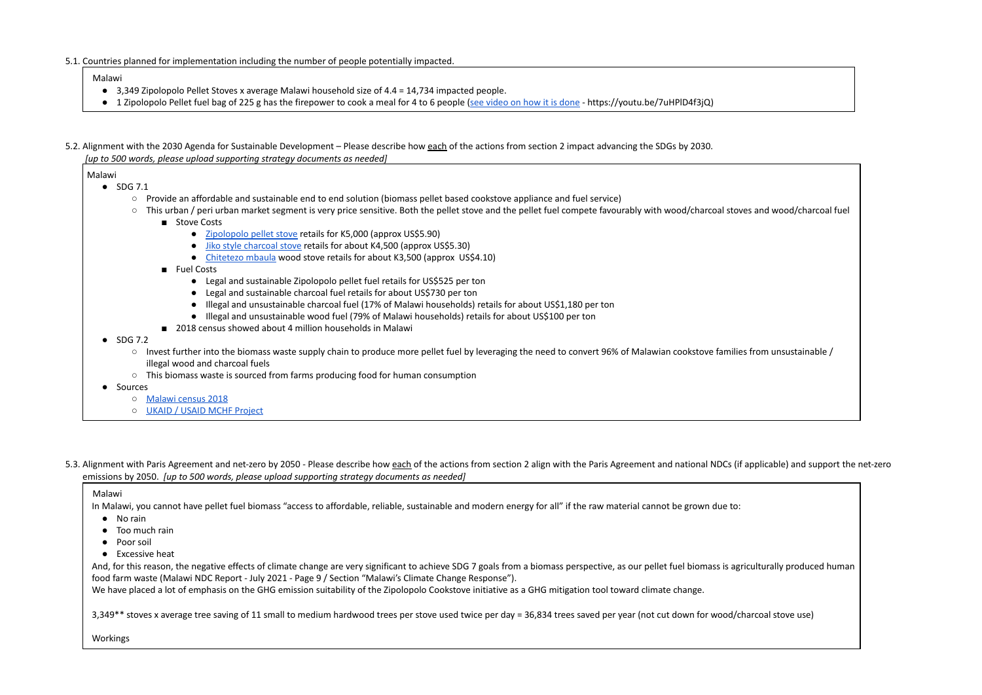5.1. Countries planned for implementation including the number of people potentially impacted.

Malawi

- 3,349 Zipolopolo Pellet Stoves x average Malawi household size of 4.4 = 14,734 impacted people.
- 1 Zipolopolo Pellet fuel bag of 225 g has the firepower to cook a meal for 4 to 6 people (see [video](https://youtu.be/7uHPlD4f3jQ) on how it is done https://youtu.be/7uHPlD4f3jQ)
- 5.2. Alignment with the 2030 Agenda for Sustainable Development Please describe how each of the actions from section 2 impact advancing the SDGs by 2030. *[up to 500 words, please upload supporting strategy documents as needed]*

Malawi

- SDG 7.1
	- Provide an affordable and sustainable end to end solution (biomass pellet based cookstove appliance and fuel service)
	- This urban / peri urban market segment is very price sensitive. Both the pellet stove and the pellet fuel compete favourably with wood/charcoal stoves and wood/charcoal fuel
		- Stove Costs
			- [Zipolopolo](https://youtu.be/7uHPlD4f3jQ) pellet stove retails for K5,000 (approx US\$5.90)
			- Jiko style [charcoal](https://www.alamy.com/stock-photo-a-man-cooking-on-a-charcoal-stove-on-the-zomba-plateau-in-malawi-africa-81044761.html) stove retails for about K4,500 (approx US\$5.30)
			- [Chitetezo](https://malawi24.com/2017/07/31/distribute-free-chitetezo-mbaula/) mbaula wood stove retails for about K3,500 (approx US\$4.10)
		- Fuel Costs
			- Legal and sustainable Zipolopolo pellet fuel retails for US\$525 per ton
			- Legal and sustainable charcoal fuel retails for about US\$730 per ton
			- Illegal and unsustainable charcoal fuel (17% of Malawi households) retails for about US\$1,180 per ton
			- Illegal and unsustainable wood fuel (79% of Malawi households) retails for about US\$100 per ton
		- 2018 census showed about 4 million households in Malawi
- SDG 7.2
	- Invest further into the biomass waste supply chain to produce more pellet fuel by leveraging the need to convert 96% of Malawian cookstove families from unsustainable / illegal wood and charcoal fuels
	- This biomass waste is sourced from farms producing food for human consumption
- Sources
	- [Malawi](https://malawi.unfpa.org/sites/default/files/resource-pdf/2018%20Malawi%20Population%20and%20Housing%20Census%20Main%20Report%20%281%29.pdf) census 2018
	- UKAID / USAID MCHF [Project](https://www.resilience.mw/sites/default/files/2020-12/MCHF%20Activity%20Fact%20Sheet_Final_Sept2020.pdf)
- 5.3. Alignment with Paris Agreement and net-zero by 2050 Please describe how each of the actions from section 2 align with the Paris Agreement and national NDCs (if applicable) and support the net-zero emissions by 2050. *[up to 500 words, please upload supporting strategy documents as needed]*

And, for this reason, the negative effects of climate change are very significant to achieve SDG 7 goals from a biomass perspective, as our pellet fuel biomass is agriculturally produced human food farm waste (Malawi NDC Report - July 2021 - Page 9 / Section "Malawi's Climate Change Response").

## Malawi

In Malawi, you cannot have pellet fuel biomass "access to affordable, reliable, sustainable and modern energy for all" if the raw material cannot be grown due to:

- No rain
- Too much rain
- Poor soil
- Excessive heat

We have placed a lot of emphasis on the GHG emission suitability of the Zipolopolo Cookstove initiative as a GHG mitigation tool toward climate change.

3,349\*\* stoves x average tree saving of 11 small to medium hardwood trees per stove used twice per day = 36,834 trees saved per year (not cut down for wood/charcoal stove use)

Workings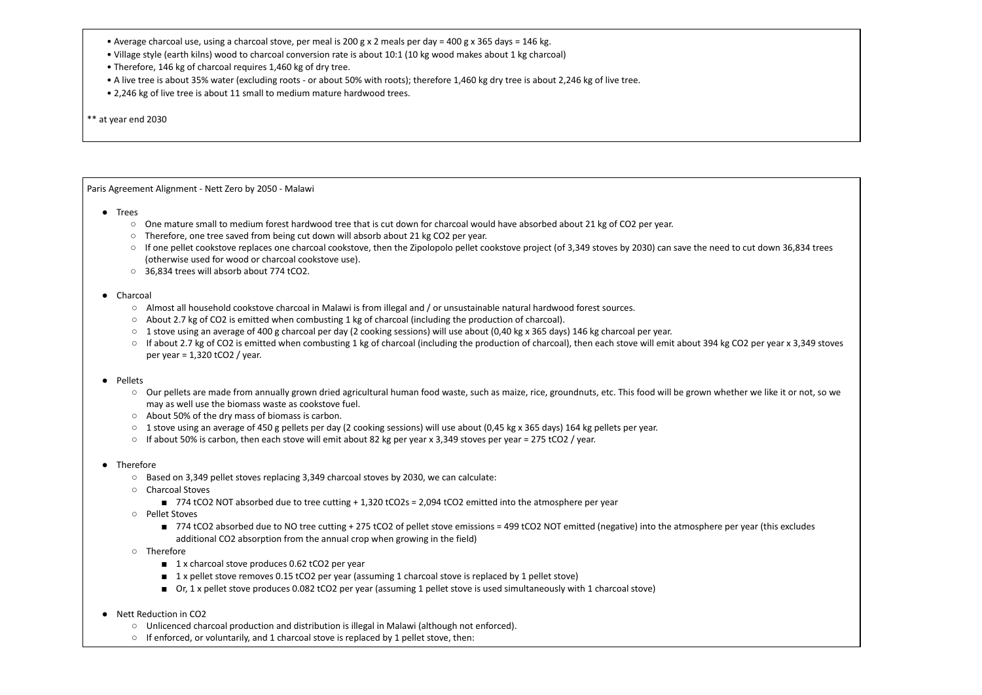- Average charcoal use, using a charcoal stove, per meal is 200 g x 2 meals per day = 400 g x 365 days = 146 kg.
- Village style (earth kilns) wood to charcoal conversion rate is about 10:1 (10 kg wood makes about 1 kg charcoal)
- Therefore, 146 kg of charcoal requires 1,460 kg of dry tree.
- A live tree is about 35% water (excluding roots or about 50% with roots); therefore 1,460 kg dry tree is about 2,246 kg of live tree.
- 2,246 kg of live tree is about 11 small to medium mature hardwood trees.
- \*\* at year end 2030

Paris Agreement Alignment - Nett Zero by 2050 - Malawi

- Trees
	- One mature small to medium forest hardwood tree that is cut down for charcoal would have absorbed about 21 kg of CO2 per year.
	- Therefore, one tree saved from being cut down will absorb about 21 kg CO2 per year.
	- If one pellet cookstove replaces one charcoal cookstove, then the Zipolopolo pellet cookstove project (of 3,349 stoves by 2030) can save the need to cut down 36,834 trees (otherwise used for wood or charcoal cookstove use).
	- 36,834 trees will absorb about 774 tCO2.

# ● Charcoal

- Almost all household cookstove charcoal in Malawi is from illegal and / or unsustainable natural hardwood forest sources.
- About 2.7 kg of CO2 is emitted when combusting 1 kg of charcoal (including the production of charcoal).
- $\circ$  1 stove using an average of 400 g charcoal per day (2 cooking sessions) will use about (0,40 kg x 365 days) 146 kg charcoal per year.
- If about 2.7 kg of CO2 is emitted when combusting 1 kg of charcoal (including the production of charcoal), then each stove will emit about 394 kg CO2 per year x 3,349 stoves per year = 1,320 tCO2 / year.

- Our pellets are made from annually grown dried agricultural human food waste, such as maize, rice, groundnuts, etc. This food will be grown whether we like it or not, so we may as well use the biomass waste as cookstove fuel.
- About 50% of the dry mass of biomass is carbon.
- 1 stove using an average of 450 g pellets per day (2 cooking sessions) will use about (0,45 kg x 365 days) 164 kg pellets per year.
- If about 50% is carbon, then each stove will emit about 82 kg per year x 3,349 stoves per year = 275 tCO2 / year.
- Therefore
	- Based on 3,349 pellet stoves replacing 3,349 charcoal stoves by 2030, we can calculate:
	- Charcoal Stoves
		- 774 tCO2 NOT absorbed due to tree cutting + 1,320 tCO2s = 2,094 tCO2 emitted into the atmosphere per year
	- Pellet Stoves
		- 774 tCO2 absorbed due to NO tree cutting + 275 tCO2 of pellet stove emissions = 499 tCO2 NOT emitted (negative) into the atmosphere per year (this excludes additional CO2 absorption from the annual crop when growing in the field)
	- Therefore
		- 1 x charcoal stove produces 0.62 tCO2 per year
		- 1 x pellet stove removes 0.15 tCO2 per year (assuming 1 charcoal stove is replaced by 1 pellet stove)
		- Or, 1 x pellet stove produces 0.082 tCO2 per year (assuming 1 pellet stove is used simultaneously with 1 charcoal stove)
- Nett Reduction in CO2
	- Unlicenced charcoal production and distribution is illegal in Malawi (although not enforced).
	- If enforced, or voluntarily, and 1 charcoal stove is replaced by 1 pellet stove, then:



# ● Pellets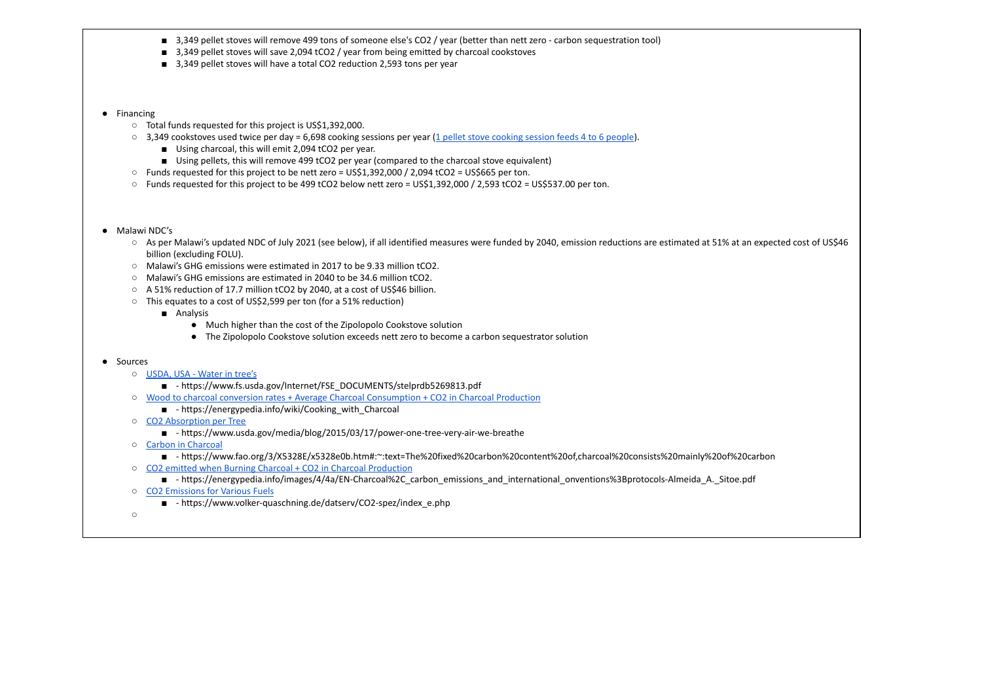- 3,349 pellet stoves will remove 499 tons of someone else's CO2 / year (better than nett zero carbon sequestration tool)
- 3,349 pellet stoves will save 2,094 tCO2 / year from being emitted by charcoal cookstoves
- 3,349 pellet stoves will have a total CO2 reduction 2,593 tons per year

# ● Financing

- Total funds requested for this project is US\$1,392,000.
- 3,349 cookstoves used twice per day = 6,698 [cooking](https://youtu.be/7uHPlD4f3jQ) sessions per year (1 pellet stove cooking session feeds 4 to 6 people).
	- Using charcoal, this will emit 2,094 tCO2 per year.
	- Using pellets, this will remove 499 tCO2 per year (compared to the charcoal stove equivalent)
- Funds requested for this project to be nett zero = US\$1,392,000 / 2,094 tCO2 = US\$665 per ton.
- Funds requested for this project to be 499 tCO2 below nett zero = US\$1,392,000 / 2,593 tCO2 = US\$537.00 per ton.
- Malawi NDC's
	- As per Malawi's updated NDC of July 2021 (see below), if all identified measures were funded by 2040, emission reductions are estimated at 51% at an expected cost of US\$46 billion (excluding FOLU).
	- Malawi's GHG emissions were estimated in 2017 to be 9.33 million tCO2.
	- Malawi's GHG emissions are estimated in 2040 to be 34.6 million tCO2.
	- A 51% reduction of 17.7 million tCO2 by 2040, at a cost of US\$46 billion.
	- This equates to a cost of US\$2,599 per ton (for a 51% reduction)
		- Analysis
			- Much higher than the cost of the Zipolopolo Cookstove solution
			- The Zipolopolo Cookstove solution exceeds nett zero to become a carbon sequestrator solution

## ● Sources

- [USDA,](https://www.fs.usda.gov/Internet/FSE_DOCUMENTS/stelprdb5269813.pdf) USA Water in tree's
	- - https://www.fs.usda.gov/Internet/FSE\_DOCUMENTS/stelprdb5269813.pdf
- Wood to charcoal conversion rates + Average Charcoal [Consumption](https://energypedia.info/wiki/Cooking_with_Charcoal) + CO2 in Charcoal Production
	- - https://energypedia.info/wiki/Cooking\_with\_Charcoal
- CO2 [Absorption](https://www.usda.gov/media/blog/2015/03/17/power-one-tree-very-air-we-breathe) per Tree
	- - https://www.usda.gov/media/blog/2015/03/17/power-one-tree-very-air-we-breathe
- Carbon in [Charcoal](https://www.fao.org/3/X5328E/x5328e0b.htm#:~:text=The%20fixed%20carbon%20content%20of,charcoal%20consists%20mainly%20of%20carbon.)
	- - https://www.fao.org/3/X5328E/x5328e0b.htm#:~:text=The%20fixed%20carbon%20content%20of,charcoal%20consists%20mainly%20of%20carbon
- CO2 emitted when Burning Charcoal + CO2 in Charcoal [Production](https://energypedia.info/images/4/4a/EN-Charcoal%2C_carbon_emissions_and_international_onventions%3Bprotocols-Almeida_A._Sitoe.pdf)
	- - https://energypedia.info/images/4/4a/EN-Charcoal%2C carbon emissions and international onventions%3Bprotocols-Almeida A. Sitoe.pdf
- CO2 [Emissions](https://www.volker-quaschning.de/datserv/CO2-spez/index_e.php) for Various Fuels
	- - https://www.volker-quaschning.de/datserv/CO2-spez/index\_e.php
- ○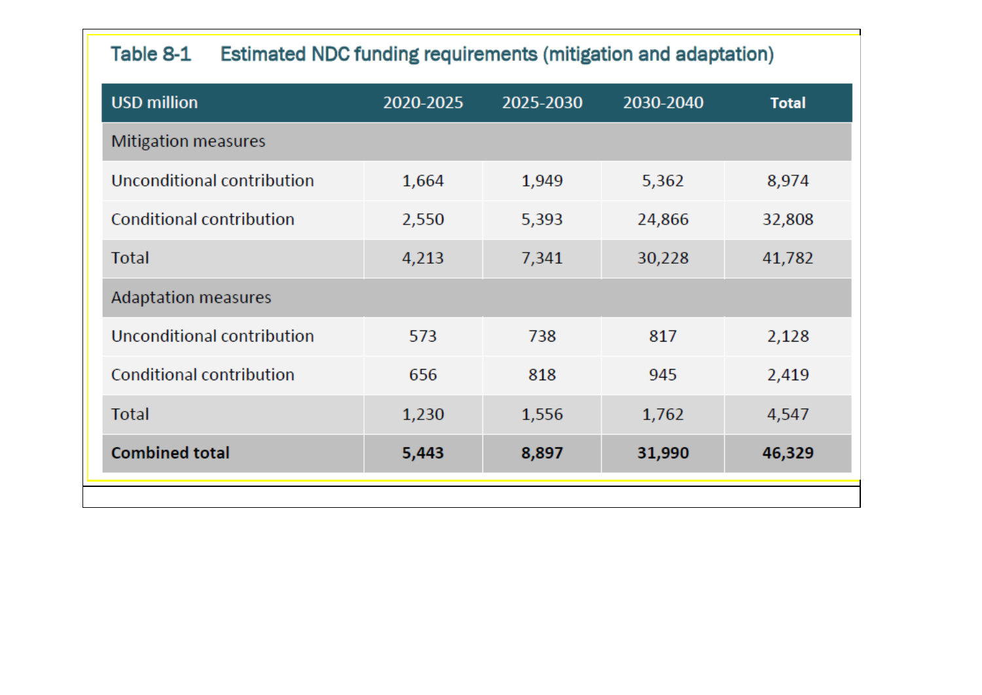# Estimated NDC funding requirements (mitigation and adaptation) Table 8-1

| <b>USD million</b>              | 2020-2025 | 2025-2030 | 2030-2040 |
|---------------------------------|-----------|-----------|-----------|
| <b>Mitigation measures</b>      |           |           |           |
| Unconditional contribution      | 1,664     | 1,949     | 5,362     |
| <b>Conditional contribution</b> | 2,550     | 5,393     | 24,866    |
| <b>Total</b>                    | 4,213     | 7,341     | 30,228    |
| <b>Adaptation measures</b>      |           |           |           |
| Unconditional contribution      | 573       | 738       | 817       |
| <b>Conditional contribution</b> | 656       | 818       | 945       |
| <b>Total</b>                    | 1,230     | 1,556     | 1,762     |
| <b>Combined total</b>           | 5,443     | 8,897     | 31,990    |
|                                 |           |           |           |

| <b>Total</b> |
|--------------|
|              |
| 8,974        |
| 32,808       |
| 41,782       |
|              |
| 2,128        |
| 2,419        |
| 4,547        |
| 46,329       |
|              |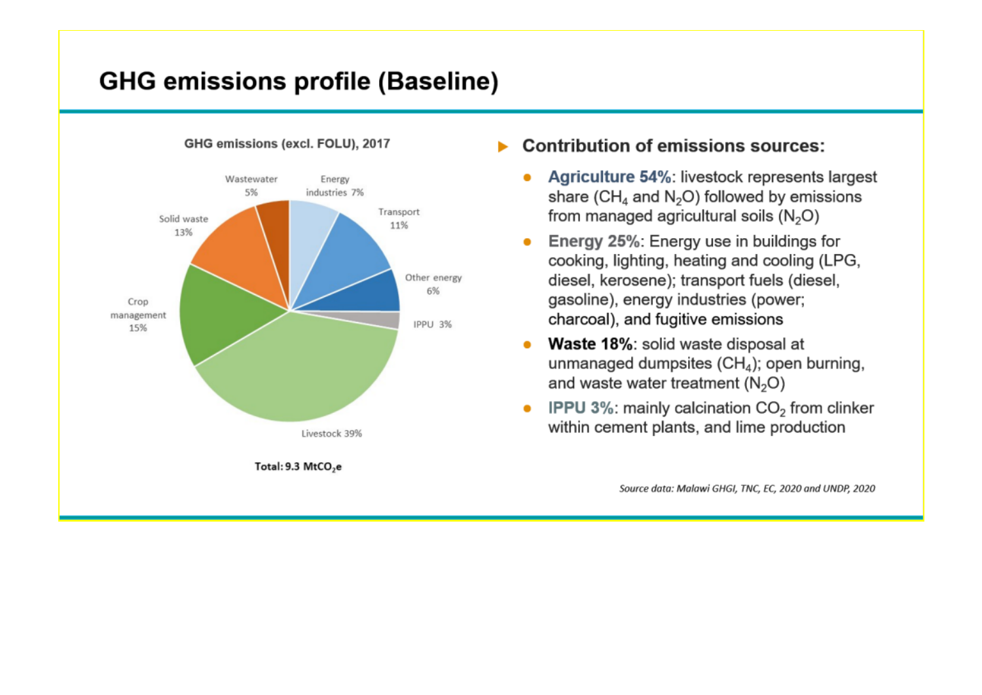# **GHG emissions profile (Baseline)**

GHG emissions (excl. FOLU), 2017



# **Contribution of emissions sources:**

- Agriculture 54%: livestock represents largest share ( $CH<sub>4</sub>$  and N<sub>2</sub>O) followed by emissions from managed agricultural soils  $(N_2O)$
- Energy 25%: Energy use in buildings for  $\bullet$ cooking, lighting, heating and cooling (LPG, diesel, kerosene); transport fuels (diesel, gasoline), energy industries (power; charcoal), and fugitive emissions
- Waste 18%: solid waste disposal at  $\bullet$ unmanaged dumpsites  $(CH<sub>4</sub>)$ ; open burning, and waste water treatment  $(N_2O)$
- **IPPU 3%: mainly calcination**  $CO<sub>2</sub>$  **from clinker**  $\bullet$ within cement plants, and lime production

Source data: Malawi GHGI, TNC, EC, 2020 and UNDP, 2020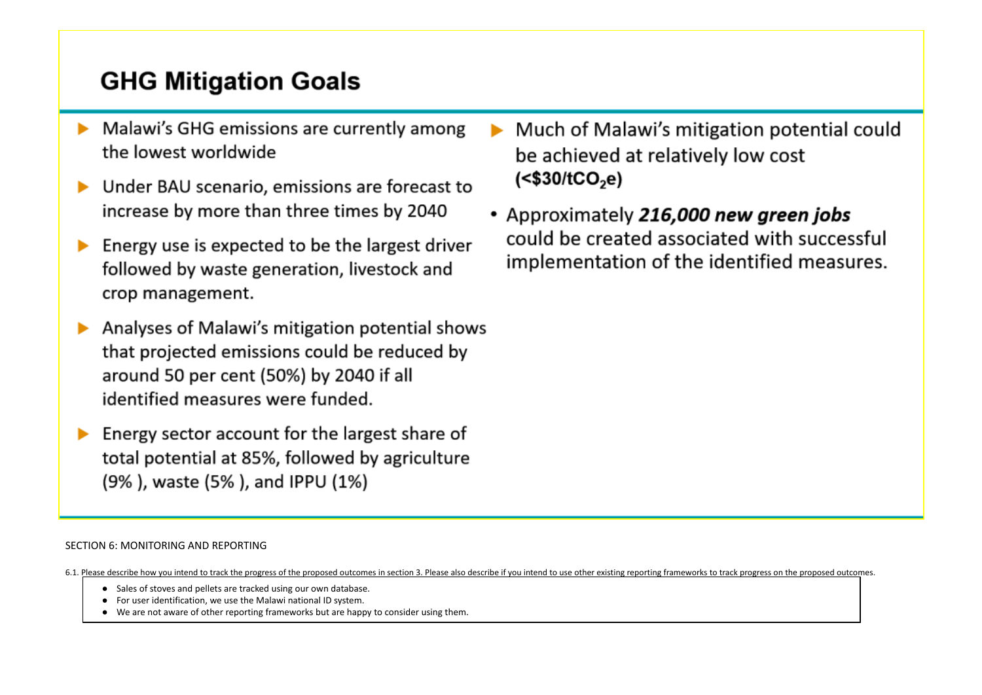# **GHG Mitigation Goals**

- Malawi's GHG emissions are currently among the lowest worldwide
- Under BAU scenario, emissions are forecast to increase by more than three times by 2040
- Energy use is expected to be the largest driver followed by waste generation, livestock and crop management.
- Analyses of Malawi's mitigation potential shows that projected emissions could be reduced by around 50 per cent (50%) by 2040 if all identified measures were funded.
- Energy sector account for the largest share of total potential at 85%, followed by agriculture (9%), waste (5%), and IPPU (1%)
- Much of Malawi's mitigation potential could be achieved at relatively low cost  $(<$ \$30/tCO<sub>2</sub>e)
- Approximately 216,000 new green jobs could be created associated with successful implementation of the identified measures.

# SECTION 6: MONITORING AND REPORTING

- 6.1. Please describe how you intend to track the progress of the proposed outcomes in section 3. Please also describe if you intend to use other existing reporting frameworks to track progress on the proposed outcomes.
	- Sales of stoves and pellets are tracked using our own database.
	- For user identification, we use the Malawi national ID system.
	- We are not aware of other reporting frameworks but are happy to consider using them.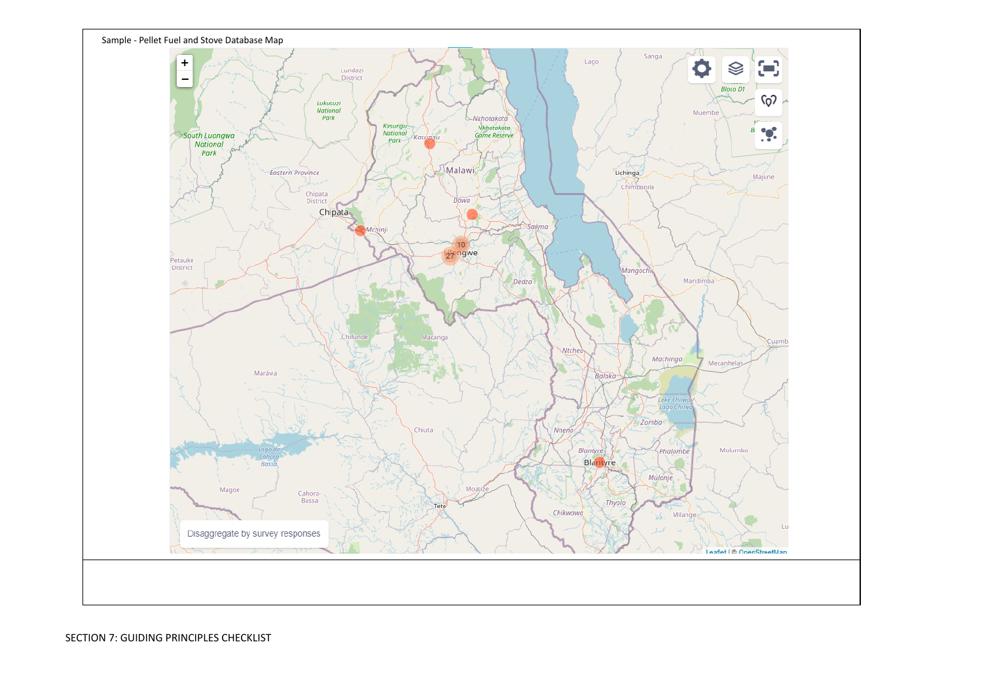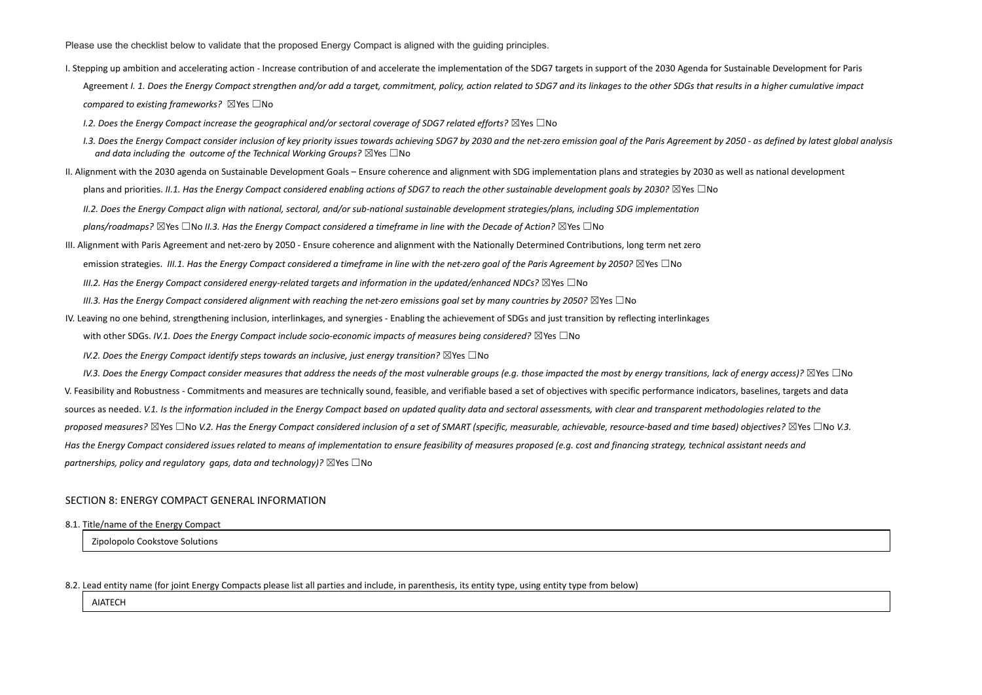Please use the checklist below to validate that the proposed Energy Compact is aligned with the guiding principles.

- I. Stepping up ambition and accelerating action Increase contribution of and accelerate the implementation of the SDG7 targets in support of the 2030 Agenda for Sustainable Development for Paris Agreement I. 1. Does the Energy Compact strengthen and/or add a target, commitment, policy, action related to SDG7 and its linkages to the other SDGs that results in a higher cumulative impact *compared to existing frameworks?* ☒Yes ☐No
	- *I.2. Does the Energy Compact increase the geographical and/or sectoral coverage of SDG7 related efforts?* ☒Yes ☐No
	- 1.3. Does the Energy Compact consider inclusion of key priority issues towards achieving SDG7 by 2030 and the net-zero emission goal of the Paris Agreement by 2050 as defined by latest global analysis *and data including the outcome of the Technical Working Groups?* ☒Yes ☐No
- II. Alignment with the 2030 agenda on Sustainable Development Goals Ensure coherence and alignment with SDG implementation plans and strategies by 2030 as well as national development plans and priorities. II.1. Has the Energy Compact considered enabling actions of SDG7 to reach the other sustainable development goals by 2030?  $\boxtimes$  Yes  $\Box$ No II.2. Does the Energy Compact align with national, sectoral, and/or sub-national sustainable development strategies/plans, including SDG implementation plans/roadmaps?  $\boxtimes$ Yes  $\Box$ No II.3. Has the Energy Compact considered a timeframe in line with the Decade of Action?  $\boxtimes$ Yes  $\Box$ No
- III. Alignment with Paris Agreement and net-zero by 2050 Ensure coherence and alignment with the Nationally Determined Contributions, long term net zero emission strategies. III.1. Has the Energy Compact considered a timeframe in line with the net-zero goal of the Paris Agreement by 2050?  $\boxtimes$  Yes  $\Box$  No *III.2. Has the Energy Compact considered energy-related targets and information in the updated/enhanced NDCs?* ☒Yes ☐No III.3. Has the Energy Compact considered alignment with reaching the net-zero emissions goal set by many countries by 2050?  $\boxtimes$  Yes  $\Box$  No
- IV. Leaving no one behind, strengthening inclusion, interlinkages, and synergies Enabling the achievement of SDGs and just transition by reflecting interlinkages with other SDGs. *IV.1. Does the Energy Compact include socio-economic impacts of measures being considered?* ☒Yes ☐No
	- *IV.2. Does the Energy Compact identify steps towards an inclusive, just energy transition?* ☒Yes ☐No

IV.3. Does the Energy Compact consider measures that address the needs of the most vulnerable groups (e.g. those impacted the most by energy transitions, lack of energy access)?  $\boxtimes$  Yes  $\Box$  No V. Feasibility and Robustness - Commitments and measures are technically sound, feasible, and verifiable based a set of objectives with specific performance indicators, baselines, targets and data sources as needed. V.1. Is the information included in the Energy Compact based on updated quality data and sectoral assessments, with clear and transparent methodologies related to the proposed measures?  $\boxtimes$ Yes  $\Box$ No V.2. Has the Energy Compact considered inclusion of a set of SMART (specific, measurable, achievable, resource-based and time based) objectives?  $\boxtimes$ Yes  $\Box$ No V.3. Has the Energy Compact considered issues related to means of implementation to ensure feasibility of measures proposed (e.g. cost and financing strategy, technical assistant needs and *partnerships, policy and regulatory gaps, data and technology)?* ☒Yes ☐No

# SECTION 8: ENERGY COMPACT GENERAL INFORMATION

8.1. Title/name of the Energy Compact

Zipolopolo Cookstove Solutions

# 8.2. Lead entity name (for joint Energy Compacts please list all parties and include, in parenthesis, its entity type, using entity type from below)

AIATECH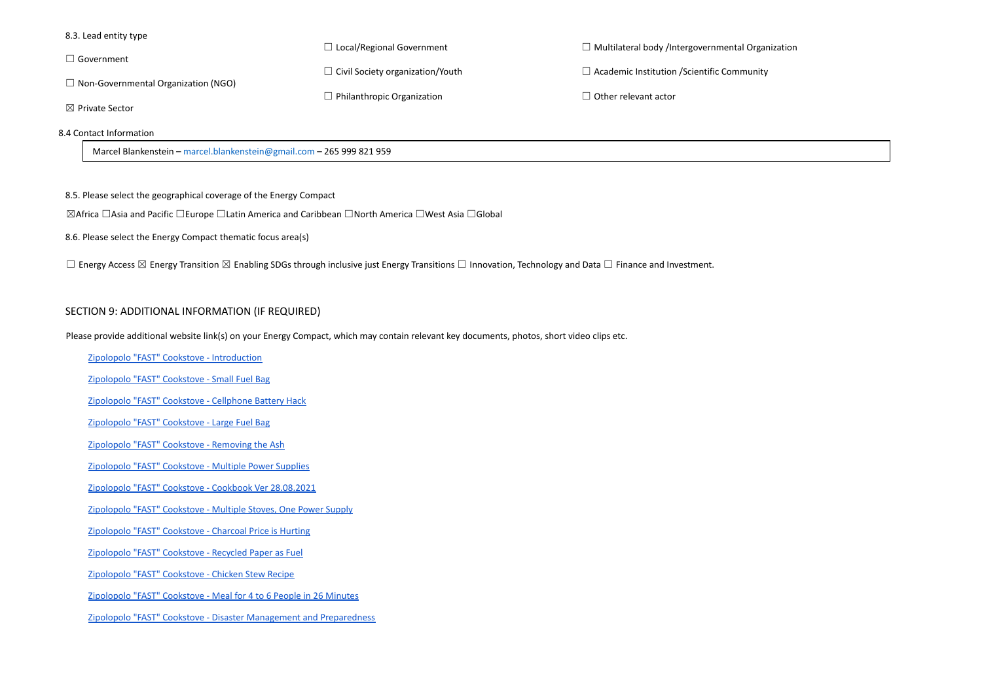| 8.3. Lead entity type                                                 |                                         |                                                    |
|-----------------------------------------------------------------------|-----------------------------------------|----------------------------------------------------|
|                                                                       | $\Box$ Local/Regional Government        | $\Box$ Multilateral body /Intergovernmental Organ  |
| $\Box$ Government                                                     | $\Box$ Civil Society organization/Youth | $\Box$ Academic Institution / Scientific Community |
| $\Box$ Non-Governmental Organization (NGO)                            |                                         |                                                    |
|                                                                       | $\Box$ Philanthropic Organization       | $\Box$ Other relevant actor                        |
| $\boxtimes$ Private Sector                                            |                                         |                                                    |
| 8.4 Contact Information                                               |                                         |                                                    |
| Marcel Blankenstein - marcel.blankenstein@gmail.com - 265 999 821 959 |                                         |                                                    |

8.5. Please select the geographical coverage of the Energy Compact

☒Africa ☐Asia and Pacific ☐Europe ☐Latin America and Caribbean ☐North America ☐West Asia ☐Global

8.6. Please select the Energy Compact thematic focus area(s)

□ Energy Access ⊠ Energy Transition ⊠ Enabling SDGs through inclusive just Energy Transitions □ Innovation, Technology and Data □ Finance and Investment.

# SECTION 9: ADDITIONAL INFORMATION (IF REQUIRED)

Please provide additional website link(s) on your Energy Compact, which may contain relevant key documents, photos, short video clips etc.

Zipolopolo "FAST" Cookstove - [Introduction](https://mailchi.mp/9787e1ca54cb/zipolopolo-fast-cookstove-introduction)

[Zipolopolo](http://https//mailchi.mp/34a7977eea0e/zipolopolo-fast-cookstove-small-fast-moto-fuel-bag) "FAST" Cookstove - Small Fuel Bag

[Zipolopolo](https://mailchi.mp/56ca183f4cd5/zipolopolo-fast-cookstove-cellphone-battery-hack) "FAST" Cookstove - Cellphone Battery Hack

[Zipolopolo](https://mailchi.mp/d832c2e8dc7f/zipolopolo-fast-cookstove-large-fast-moto-fuel-bag) "FAST" Cookstove - Large Fuel Bag

[Zipolopolo](https://mailchi.mp/633e48549940/zipolopolo-fast-cookstove-removing-the-ash) "FAST" Cookstove - Removing the Ash

[Zipolopolo](https://mailchi.mp/e1172ea42d70/zipolopolo-fast-cookstove-power-supplies) "FAST" Cookstove - Multiple Power Supplies

Zipolopolo "FAST" Cookstove - Cookbook Ver [28.08.2021](https://mailchi.mp/aecb3ee9ab1c/zipolopolo-fast-cookstove-cookbook-ver-280821)

[Zipolopolo](https://mailchi.mp/65262a1aad9c/zipolopolo-fast-cookstove-multiple-stoves-on-one-power-supply) "FAST" Cookstove - Multiple Stoves, One Power Supply

[Zipolopolo](https://mailchi.mp/d7f7ef4f625a/zipolopolo-fast-cookstove-charcoal-price-is-hurting) "FAST" Cookstove - Charcoal Price is Hurting

[Zipolopolo](https://mailchi.mp/1a8b29978a6d/zipolopolo-fast-cookstove-recycled-paper-as-fuel) "FAST" Cookstove - Recycled Paper as Fuel

[Zipolopolo](https://mailchi.mp/b2b7d8bf2997/zipolopolo-fast-cookstove-chicken-stew-recipe) "FAST" Cookstove - Chicken Stew Recipe

[Zipolopolo](https://mailchi.mp/63373a0078fc/zipolopolo-fast-cookstove-meal-for-4-to-6-people-in-26-minutes) "FAST" Cookstove - Meal for 4 to 6 People in 26 Minutes

Zipolopolo "FAST" Cookstove - Disaster Management and [Preparedness](https://mailchi.mp/f82a424988d1/zipolopolo-fast-cookstove-disaster-management-and-preparedness)

# rganization